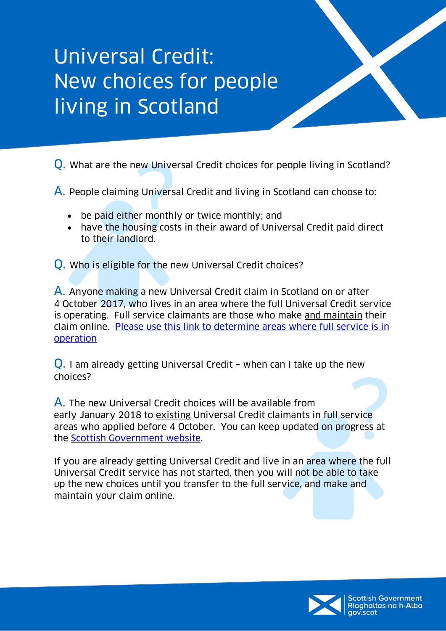## Universal Credit: New choices for people living in Scotland

Q. What are the new Universal Credit choices for people living in Scotland?

A. People claiming Universal Credit and living in Scotland can choose to:

- be paid either monthly or twice monthly; and
- have the housing costs in their award of Universal Credit paid direct to their landlord.

Q. Who is eligible for the new Universal Credit choices?

A. Anyone making a new Universal Credit claim in Scotland on or after 4 October 2017, who lives in an area where the full Universal Credit service is operating. Full service claimants are those who make and maintain their claim online. [Please use this link to determine areas where full service is in](https://www.gov.uk/guidance/jobcentres-where-you-can-claim-universal-credit)  [operation](https://www.gov.uk/guidance/jobcentres-where-you-can-claim-universal-credit)

Q. I am already getting Universal Credit – when can I take up the new choices?

A. The new Universal Credit choices will be available from early January 2018 to existing Universal Credit claimants in full service areas who applied before 4 October. You can keep updated on progress at the [Scottish Government website.](https://beta.gov.scot/policies/social-security/)

If you are already getting Universal Credit and live in an area where the full Universal Credit service has not started, then you will not be able to take up the new choices until you transfer to the full service, and make and maintain your claim online.

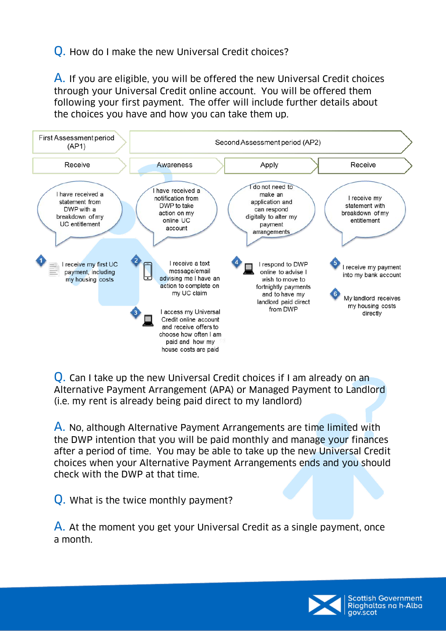## Q. How do I make the new Universal Credit choices?

A. If you are eligible, you will be offered the new Universal Credit choices through your Universal Credit online account. You will be offered them following your first payment. The offer will include further details about the choices you have and how you can take them up.



Q. Can I take up the new Universal Credit choices if I am already on an Alternative Payment Arrangement (APA) or Managed Payment to Landlord (i.e. my rent is already being paid direct to my landlord)

A. No, although Alternative Payment Arrangements are time limited with the DWP intention that you will be paid monthly and manage your finances after a period of time. You may be able to take up the new Universal Credit choices when your Alternative Payment Arrangements ends and you should check with the DWP at that time.

Q. What is the twice monthly payment?

A. At the moment you get your Universal Credit as a single payment, once a month.

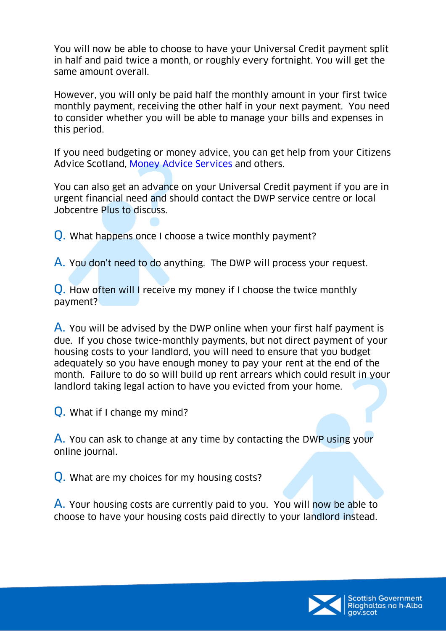You will now be able to choose to have your Universal Credit payment split in half and paid twice a month, or roughly every fortnight. You will get the same amount overall.

However, you will only be paid half the monthly amount in your first twice monthly payment, receiving the other half in your next payment. You need to consider whether you will be able to manage your bills and expenses in this period.

If you need budgeting or money advice, you can get help from your Citizens Advice Scotland, [Money Advice Services](https://www.moneyadviceservice.org.uk/en/tools/money-manager) and others.

You can also get an advance on your Universal Credit payment if you are in urgent financial need and should contact the DWP service centre or local Jobcentre Plus to discuss.

Q. What happens once I choose a twice monthly payment?

A. You don't need to do anything. The DWP will process your request.

Q. How often will I receive my money if I choose the twice monthly payment?

A. You will be advised by the DWP online when your first half payment is due. If you chose twice-monthly payments, but not direct payment of your housing costs to your landlord, you will need to ensure that you budget adequately so you have enough money to pay your rent at the end of the month. Failure to do so will build up rent arrears which could result in your landlord taking legal action to have you evicted from your home.

Q. What if I change my mind?

A. You can ask to change at any time by contacting the DWP using your online journal.

Q. What are my choices for my housing costs?

A. Your housing costs are currently paid to you. You will now be able to choose to have your housing costs paid directly to your landlord instead.